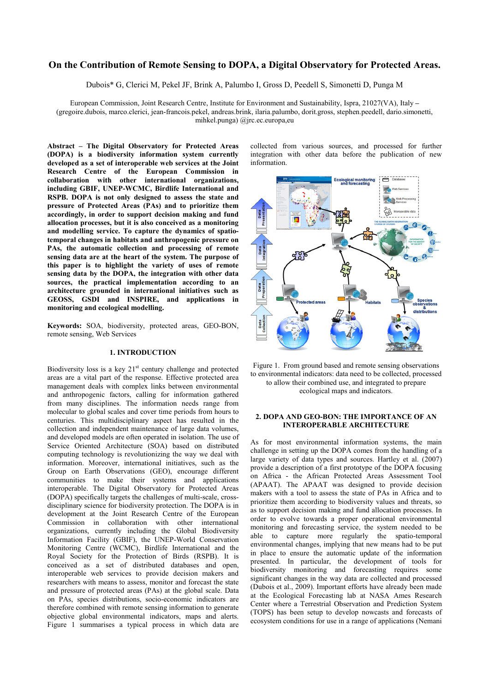# **On the Contribution of Remote Sensing to DOPA, a Digital Observatory for Protected Areas.**

Dubois\* G, Clerici M, Pekel JF, Brink A, Palumbo I, Gross D, Peedell S, Simonetti D, Punga M

European Commission, Joint Research Centre, Institute for Environment and Sustainability, Ispra, 21027(VA), Italy **–** (gregoire.dubois, marco.clerici, jean-francois.pekel, andreas.brink, ilaria.palumbo, dorit.gross, stephen.peedell, dario.simonetti, mihkel.punga) @jrc.ec.europa,eu

**Abstract – The Digital Observatory for Protected Areas (DOPA) is a biodiversity information system currently developed as a set of interoperable web services at the Joint Research Centre of the European Commission in collaboration with other international organizations, including GBIF, UNEP-WCMC, Birdlife International and RSPB. DOPA is not only designed to assess the state and pressure of Protected Areas (PAs) and to prioritize them accordingly, in order to support decision making and fund allocation processes, but it is also conceived as a monitoring and modelling service. To capture the dynamics of spatiotemporal changes in habitats and anthropogenic pressure on PAs, the automatic collection and processing of remote sensing data are at the heart of the system. The purpose of this paper is to highlight the variety of uses of remote sensing data by the DOPA, the integration with other data sources, the practical implementation according to an architecture grounded in international initiatives such as GEOSS, GSDI and INSPIRE, and applications in monitoring and ecological modelling.** 

**Keywords:** SOA, biodiversity, protected areas, GEO-BON, remote sensing, Web Services

## **1. INTRODUCTION**

Biodiversity loss is a key  $21<sup>st</sup>$  century challenge and protected areas are a vital part of the response. Effective protected area management deals with complex links between environmental and anthropogenic factors, calling for information gathered from many disciplines. The information needs range from molecular to global scales and cover time periods from hours to centuries. This multidisciplinary aspect has resulted in the collection and independent maintenance of large data volumes, and developed models are often operated in isolation. The use of Service Oriented Architecture (SOA) based on distributed computing technology is revolutionizing the way we deal with information. Moreover, international initiatives, such as the Group on Earth Observations (GEO), encourage different communities to make their systems and applications interoperable. The Digital Observatory for Protected Areas (DOPA) specifically targets the challenges of multi-scale, crossdisciplinary science for biodiversity protection. The DOPA is in development at the Joint Research Centre of the European Commission in collaboration with other international organizations, currently including the Global Biodiversity Information Facility (GBIF), the UNEP-World Conservation Monitoring Centre (WCMC), Birdlife International and the Royal Society for the Protection of Birds (RSPB). It is conceived as a set of distributed databases and open, interoperable web services to provide decision makers and researchers with means to assess, monitor and forecast the state and pressure of protected areas (PAs) at the global scale. Data on PAs, species distributions, socio-economic indicators are therefore combined with remote sensing information to generate objective global environmental indicators, maps and alerts. Figure 1 summarises a typical process in which data are

collected from various sources, and processed for further integration with other data before the publication of new information.





## **2. DOPA AND GEO-BON: THE IMPORTANCE OF AN INTEROPERABLE ARCHITECTURE**

As for most environmental information systems, the main challenge in setting up the DOPA comes from the handling of a large variety of data types and sources. Hartley et al. (2007) provide a description of a first prototype of the DOPA focusing on Africa - the African Protected Areas Assessment Tool (APAAT). The APAAT was designed to provide decision makers with a tool to assess the state of PAs in Africa and to prioritize them according to biodiversity values and threats, so as to support decision making and fund allocation processes. In order to evolve towards a proper operational environmental monitoring and forecasting service, the system needed to be able to capture more regularly the spatio-temporal environmental changes, implying that new means had to be put in place to ensure the automatic update of the information presented. In particular, the development of tools for biodiversity monitoring and forecasting requires some significant changes in the way data are collected and processed (Dubois et al., 2009). Important efforts have already been made at the Ecological Forecasting lab at NASA Ames Research Center where a Terrestrial Observation and Prediction System (TOPS) has been setup to develop nowcasts and forecasts of ecosystem conditions for use in a range of applications (Nemani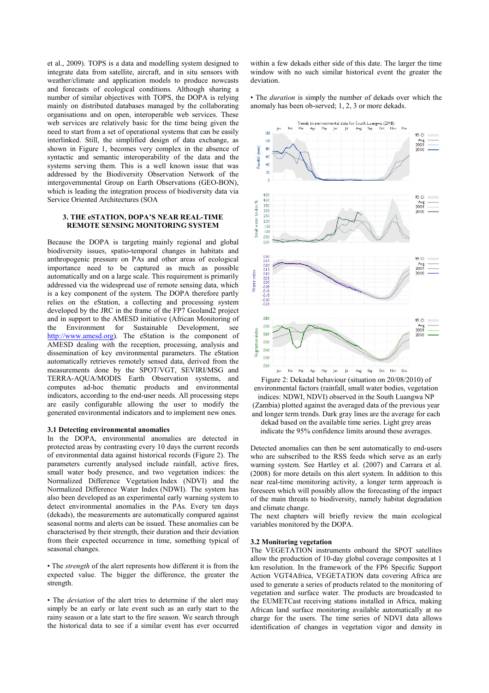et al., 2009). TOPS is a data and modelling system designed to integrate data from satellite, aircraft, and in situ sensors with weather/climate and application models to produce nowcasts and forecasts of ecological conditions. Although sharing a number of similar objectives with TOPS, the DOPA is relying mainly on distributed databases managed by the collaborating organisations and on open, interoperable web services. These web services are relatively basic for the time being given the need to start from a set of operational systems that can be easily interlinked. Still, the simplified design of data exchange, as shown in Figure 1, becomes very complex in the absence of syntactic and semantic interoperability of the data and the systems serving them. This is a well known issue that was addressed by the Biodiversity Observation Network of the intergovernmental Group on Earth Observations (GEO-BON), which is leading the integration process of biodiversity data via Service Oriented Architectures (SOA

## **3. THE eSTATION, DOPA'S NEAR REAL-TIME REMOTE SENSING MONITORING SYSTEM**

Because the DOPA is targeting mainly regional and global biodiversity issues, spatio-temporal changes in habitats and anthropogenic pressure on PAs and other areas of ecological importance need to be captured as much as possible automatically and on a large scale. This requirement is primarily addressed via the widespread use of remote sensing data, which is a key component of the system. The DOPA therefore partly relies on the eStation, a collecting and processing system developed by the JRC in the frame of the FP7 Geoland2 project and in support to the AMESD initiative (African Monitoring of the Environment for Sustainable Development, see [http://www.amesd.org](http://www.amesd.org/)). The eStation is the component of AMESD dealing with the reception, processing, analysis and dissemination of key environmental parameters. The eStation automatically retrieves remotely sensed data, derived from the measurements done by the SPOT/VGT, SEVIRI/MSG and TERRA-AQUA/MODIS Earth Observation systems, and computes ad-hoc thematic products and environmental indicators, according to the end-user needs. All processing steps are easily configurable allowing the user to modify the generated environmental indicators and to implement new ones.

## **3.1 Detecting environmental anomalies**

In the DOPA, environmental anomalies are detected in protected areas by contrasting every 10 days the current records of environmental data against historical records (Figure 2). The parameters currently analysed include rainfall, active fires, small water body presence, and two vegetation indices: the Normalized Difference Vegetation Index (NDVI) and the Normalized Difference Water Index (NDWI). The system has also been developed as an experimental early warning system to detect environmental anomalies in the PAs. Every ten days (dekads), the measurements are automatically compared against seasonal norms and alerts can be issued. These anomalies can be characterised by their strength, their duration and their deviation from their expected occurrence in time, something typical of seasonal changes.

• The *strength* of the alert represents how different it is from the expected value. The bigger the difference, the greater the strength.

• The *deviation* of the alert tries to determine if the alert may simply be an early or late event such as an early start to the rainy season or a late start to the fire season. We search through the historical data to see if a similar event has ever occurred within a few dekads either side of this date. The larger the time window with no such similar historical event the greater the deviation.

• The *duration* is simply the number of dekads over which the anomaly has been ob-served; 1, 2, 3 or more dekads.



Figure 2: Dekadal behaviour (situation on 20/08/2010) of environmental factors (rainfall, small water bodies, vegetation indices: NDWI, NDVI) observed in the South Luangwa NP (Zambia) plotted against the averaged data of the previous year and longer term trends. Dark gray lines are the average for each dekad based on the available time series. Light grey areas indicate the 95% confidence limits around these averages.

Detected anomalies can then be sent automatically to end-users who are subscribed to the RSS feeds which serve as an early warning system. See Hartley et al. (2007) and Carrara et al. (2008) for more details on this alert system. In addition to this near real-time monitoring activity, a longer term approach is foreseen which will possibly allow the forecasting of the impact of the main threats to biodiversity, namely habitat degradation and climate change.

The next chapters will briefly review the main ecological variables monitored by the DOPA.

#### **3.2 Monitoring vegetation**

The VEGETATION instruments onboard the SPOT satellites allow the production of 10-day global coverage composites at 1 km resolution. In the framework of the FP6 Specific Support Action VGT4Africa, VEGETATION data covering Africa are used to generate a series of products related to the monitoring of vegetation and surface water. The products are broadcasted to the EUMETCast receiving stations installed in Africa, making African land surface monitoring available automatically at no charge for the users. The time series of NDVI data allows identification of changes in vegetation vigor and density in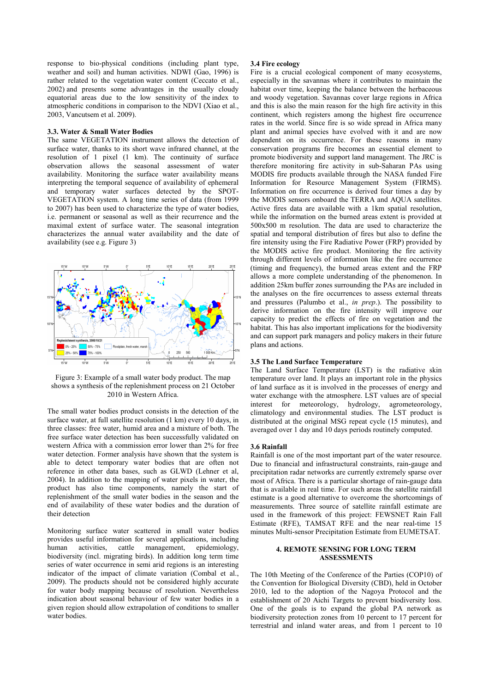response to bio-physical conditions (including plant type, weather and soil) and human activities. NDWI (Gao, 1996) is rather related to the vegetation water content (Ceccato et al., 2002) and presents some advantages in the usually cloudy equatorial areas due to the low sensitivity of the index to atmospheric conditions in comparison to the NDVI (Xiao et al., 2003, Vancutsem et al. 2009).

## **3.3. Water & Small Water Bodies**

The same VEGETATION instrument allows the detection of surface water, thanks to its short wave infrared channel, at the resolution of 1 pixel (1 km). The continuity of surface observation allows the seasonal assessment of water availability. Monitoring the surface water availability means interpreting the temporal sequence of availability of ephemeral and temporary water surfaces detected by the SPOT-VEGETATION system. A long time series of data (from 1999 to 2007) has been used to characterize the type of water bodies, i.e. permanent or seasonal as well as their recurrence and the maximal extent of surface water. The seasonal integration characterizes the annual water availability and the date of availability (see e.g. Figure 3)



Figure 3: Example of a small water body product. The map shows a synthesis of the replenishment process on 21 October 2010 in Western Africa.

The small water bodies product consists in the detection of the surface water, at full satellite resolution (1 km) every 10 days, in three classes: free water, humid area and a mixture of both. The free surface water detection has been successfully validated on western Africa with a commission error lower than 2% for free water detection. Former analysis have shown that the system is able to detect temporary water bodies that are often not reference in other data bases, such as GLWD (Lehner et al, 2004). In addition to the mapping of water pixels in water, the product has also time components, namely the start of replenishment of the small water bodies in the season and the end of availability of these water bodies and the duration of their detection

Monitoring surface water scattered in small water bodies provides useful information for several applications, including human activities, cattle management, epidemiology, biodiversity (incl. migrating birds). In addition long term time series of water occurrence in semi arid regions is an interesting indicator of the impact of climate variation (Combal et al., 2009). The products should not be considered highly accurate for water body mapping because of resolution. Nevertheless indication about seasonal behaviour of few water bodies in a given region should allow extrapolation of conditions to smaller water bodies.

### **3.4 Fire ecology**

Fire is a crucial ecological component of many ecosystems, especially in the savannas where it contributes to maintain the habitat over time, keeping the balance between the herbaceous and woody vegetation. Savannas cover large regions in Africa and this is also the main reason for the high fire activity in this continent, which registers among the highest fire occurrence rates in the world. Since fire is so wide spread in Africa many plant and animal species have evolved with it and are now dependent on its occurrence. For these reasons in many conservation programs fire becomes an essential element to promote biodiversity and support land management. The JRC is therefore monitoring fire activity in sub-Saharan PAs using MODIS fire products available through the NASA funded Fire Information for Resource Management System (FIRMS). Information on fire occurrence is derived four times a day by the MODIS sensors onboard the TERRA and AQUA satellites. Active fires data are available with a 1km spatial resolution, while the information on the burned areas extent is provided at 500x500 m resolution. The data are used to characterize the spatial and temporal distribution of fires but also to define the fire intensity using the Fire Radiative Power (FRP) provided by the MODIS active fire product. Monitoring the fire activity through different levels of information like the fire occurrence (timing and frequency), the burned areas extent and the FRP allows a more complete understanding of the phenomenon. In addition 25km buffer zones surrounding the PAs are included in the analyses on the fire occurrences to assess external threats and pressures (Palumbo et al., *in prep*.). The possibility to derive information on the fire intensity will improve our capacity to predict the effects of fire on vegetation and the habitat. This has also important implications for the biodiversity and can support park managers and policy makers in their future plans and actions.

## **3.5 The Land Surface Temperature**

The Land Surface Temperature (LST) is the radiative skin temperature over land. It plays an important role in the physics of land surface as it is involved in the processes of energy and water exchange with the atmosphere. LST values are of special interest for meteorology, hydrology, agrometeorology, climatology and environmental studies. The LST product is distributed at the original MSG repeat cycle (15 minutes), and averaged over 1 day and 10 days periods routinely computed.

#### **3.6 Rainfall**

Rainfall is one of the most important part of the water resource. Due to financial and infrastructural constraints, rain-gauge and precipitation radar networks are currently extremely sparse over most of Africa. There is a particular shortage of rain-gauge data that is available in real time. For such areas the satellite rainfall estimate is a good alternative to overcome the shortcomings of measurements. Three source of satellite rainfall estimate are used in the framework of this project: FEWSNET Rain Fall Estimate (RFE), TAMSAT RFE and the near real-time 15 minutes Multi-sensor Precipitation Estimate from EUMETSAT.

## **4. REMOTE SENSING FOR LONG TERM ASSESSMENTS**

The 10th Meeting of the Conference of the Parties (COP10) of the Convention for Biological Diversity (CBD), held in October 2010, led to the adoption of the Nagoya Protocol and the establishment of 20 Aichi Targets to prevent biodiversity loss. One of the goals is to expand the global PA network as biodiversity protection zones from 10 percent to 17 percent for terrestrial and inland water areas, and from 1 percent to 10